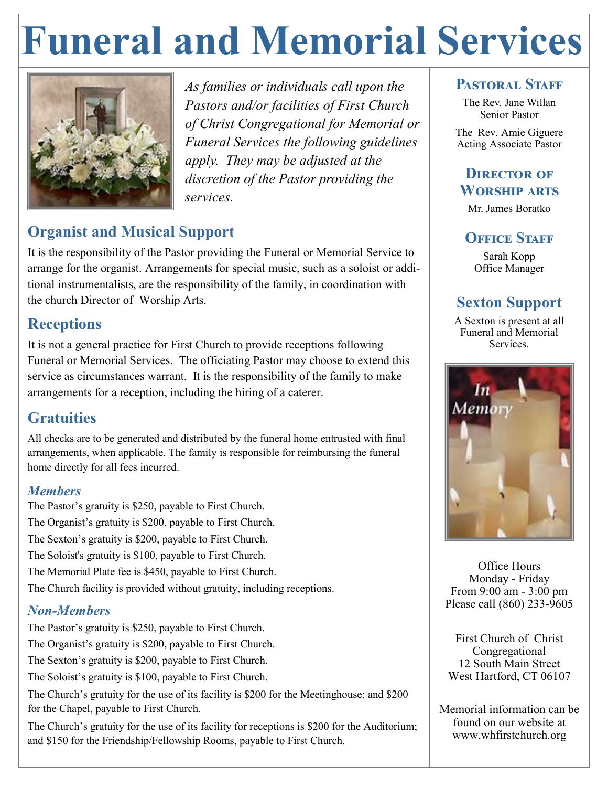## **Funeral and Memorial Services**



*As families or individuals call upon the Pastors and/or facilities of First Church of Christ Congregational for Memorial or Funeral Services the following guidelines apply. They may be adjusted at the discretion of the Pastor providing the services.* 

## **Organist and Musical Support**

It is the responsibility of the Pastor providing the Funeral or Memorial Service to arrange for the organist. Arrangements for special music, such as a soloist or additional instrumentalists, are the responsibility of the family, in coordination with the church Director of Worship Arts.

#### **Receptions**

It is not a general practice for First Church to provide receptions following Funeral or Memorial Services. The officiating Pastor may choose to extend this service as circumstances warrant. It is the responsibility of the family to make arrangements for a reception, including the hiring of a caterer.

## **Gratuities**

All checks are to be generated and distributed by the funeral home entrusted with final arrangements, when applicable. The family is responsible for reimbursing the funeral home directly for all fees incurred.

#### *Members*

The Pastor's gratuity is \$250, payable to First Church. The Organist's gratuity is \$200, payable to First Church. The Sexton's gratuity is \$200, payable to First Church. The Soloist's gratuity is \$100, payable to First Church. The Memorial Plate fee is \$450, payable to First Church. The Church facility is provided without gratuity, including receptions.

#### *Non-Members*

The Pastor's gratuity is \$250, payable to First Church.

The Organist's gratuity is \$200, payable to First Church.

The Sexton's gratuity is \$200, payable to First Church.

The Soloist's gratuity is \$100, payable to First Church.

The Church's gratuity for the use of its facility is \$200 for the Meetinghouse; and \$200 for the Chapel, payable to First Church.

The Church's gratuity for the use of its facility for receptions is \$200 for the Auditorium; and \$150 for the Friendship/Fellowship Rooms, payable to First Church.

#### PASTOR AL STAFF

The Rev. Jane Willan Senior Pastor

The Rev. Amie Giguere Acting Associate Pastor

#### **DIRECTOR OF Worship arts**

Mr. James Boratko

#### **OFFICE STAFF**

Sarah Kopp Office Manager

## **Sexton Support**

A Sexton is present at all Funeral and Memorial Services.



Office Hours Monday - Friday From 9:00 am - 3:00 pm Please call (860) 233-9605

First Church of Christ Congregational 12 South Main Street West Hartford, CT 06107

Memorial information can be found on our website at www.whfirstchurch.org